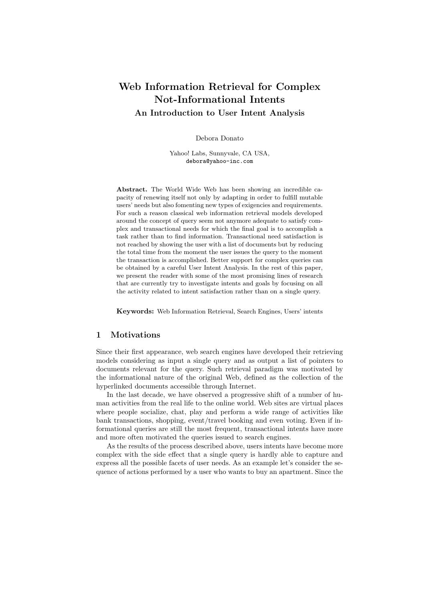# Web Information Retrieval for Complex Not-Informational Intents An Introduction to User Intent Analysis

Debora Donato

Yahoo! Labs, Sunnyvale, CA USA, debora@yahoo-inc.com

Abstract. The World Wide Web has been showing an incredible capacity of renewing itself not only by adapting in order to fulfill mutable users' needs but also fomenting new types of exigencies and requirements. For such a reason classical web information retrieval models developed around the concept of query seem not anymore adequate to satisfy complex and transactional needs for which the final goal is to accomplish a task rather than to find information. Transactional need satisfaction is not reached by showing the user with a list of documents but by reducing the total time from the moment the user issues the query to the moment the transaction is accomplished. Better support for complex queries can be obtained by a careful User Intent Analysis. In the rest of this paper, we present the reader with some of the most promising lines of research that are currently try to investigate intents and goals by focusing on all the activity related to intent satisfaction rather than on a single query.

Keywords: Web Information Retrieval, Search Engines, Users' intents

# 1 Motivations

Since their first appearance, web search engines have developed their retrieving models considering as input a single query and as output a list of pointers to documents relevant for the query. Such retrieval paradigm was motivated by the informational nature of the original Web, defined as the collection of the hyperlinked documents accessible through Internet.

In the last decade, we have observed a progressive shift of a number of human activities from the real life to the online world. Web sites are virtual places where people socialize, chat, play and perform a wide range of activities like bank transactions, shopping, event/travel booking and even voting. Even if informational queries are still the most frequent, transactional intents have more and more often motivated the queries issued to search engines.

As the results of the process described above, users intents have become more complex with the side effect that a single query is hardly able to capture and express all the possible facets of user needs. As an example let's consider the sequence of actions performed by a user who wants to buy an apartment. Since the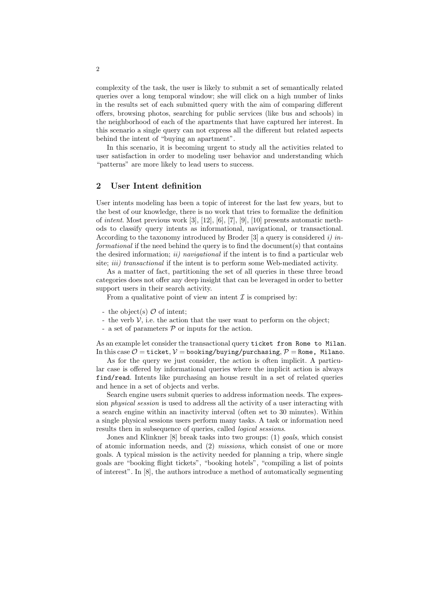complexity of the task, the user is likely to submit a set of semantically related queries over a long temporal window; she will click on a high number of links in the results set of each submitted query with the aim of comparing different offers, browsing photos, searching for public services (like bus and schools) in the neighborhood of each of the apartments that have captured her interest. In this scenario a single query can not express all the different but related aspects behind the intent of "buying an apartment".

In this scenario, it is becoming urgent to study all the activities related to user satisfaction in order to modeling user behavior and understanding which "patterns" are more likely to lead users to success.

### 2 User Intent definition

User intents modeling has been a topic of interest for the last few years, but to the best of our knowledge, there is no work that tries to formalize the definition of intent. Most previous work [3], [12], [6], [7], [9], [10] presents automatic methods to classify query intents as informational, navigational, or transactional. According to the taxonomy introduced by Broder  $[3]$  a query is considered i) informational if the need behind the query is to find the document(s) that contains the desired information;  $ii)$  navigational if the intent is to find a particular web site; *iii*) transactional if the intent is to perform some Web-mediated activity.

As a matter of fact, partitioning the set of all queries in these three broad categories does not offer any deep insight that can be leveraged in order to better support users in their search activity.

From a qualitative point of view an intent  $\mathcal I$  is comprised by:

- the object(s)  $\mathcal O$  of intent;
- the verb  $V$ , i.e. the action that the user want to perform on the object;
- a set of parameters  $P$  or inputs for the action.

As an example let consider the transactional query ticket from Rome to Milan. In this case  $\mathcal{O} = \text{ticket}, \mathcal{V} = \text{booking/baying/purchasing}, \mathcal{P} = \text{Rome}, \text{Milano}.$ 

As for the query we just consider, the action is often implicit. A particular case is offered by informational queries where the implicit action is always find/read. Intents like purchasing an house result in a set of related queries and hence in a set of objects and verbs.

Search engine users submit queries to address information needs. The expression physical session is used to address all the activity of a user interacting with a search engine within an inactivity interval (often set to 30 minutes). Within a single physical sessions users perform many tasks. A task or information need results then in subsequence of queries, called logical sessions.

Jones and Klinkner [8] break tasks into two groups: (1) *goals*, which consist of atomic information needs, and (2) missions, which consist of one or more goals. A typical mission is the activity needed for planning a trip, where single goals are "booking flight tickets", "booking hotels", "compiling a list of points of interest". In [8], the authors introduce a method of automatically segmenting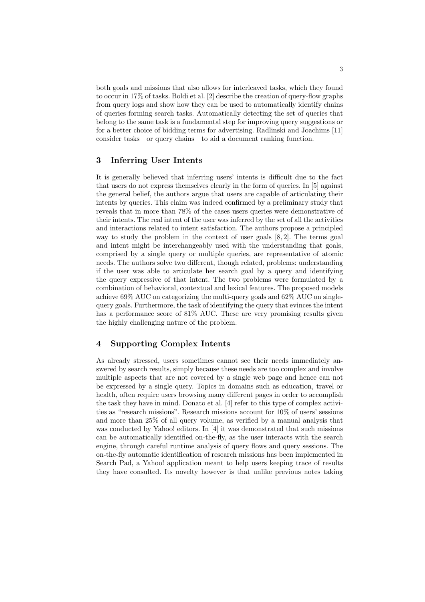both goals and missions that also allows for interleaved tasks, which they found to occur in 17% of tasks. Boldi et al. [2] describe the creation of query-flow graphs from query logs and show how they can be used to automatically identify chains of queries forming search tasks. Automatically detecting the set of queries that belong to the same task is a fundamental step for improving query suggestions or for a better choice of bidding terms for advertising. Radlinski and Joachims [11] consider tasks—or query chains—to aid a document ranking function.

### 3 Inferring User Intents

It is generally believed that inferring users' intents is difficult due to the fact that users do not express themselves clearly in the form of queries. In [5] against the general belief, the authors argue that users are capable of articulating their intents by queries. This claim was indeed confirmed by a preliminary study that reveals that in more than 78% of the cases users queries were demonstrative of their intents. The real intent of the user was inferred by the set of all the activities and interactions related to intent satisfaction. The authors propose a principled way to study the problem in the context of user goals  $[8, 2]$ . The terms goal and intent might be interchangeably used with the understanding that goals, comprised by a single query or multiple queries, are representative of atomic needs. The authors solve two different, though related, problems: understanding if the user was able to articulate her search goal by a query and identifying the query expressive of that intent. The two problems were formulated by a combination of behavioral, contextual and lexical features. The proposed models achieve 69% AUC on categorizing the multi-query goals and 62% AUC on singlequery goals. Furthermore, the task of identifying the query that evinces the intent has a performance score of  $81\%$  AUC. These are very promising results given the highly challenging nature of the problem.

# 4 Supporting Complex Intents

As already stressed, users sometimes cannot see their needs immediately answered by search results, simply because these needs are too complex and involve multiple aspects that are not covered by a single web page and hence can not be expressed by a single query. Topics in domains such as education, travel or health, often require users browsing many different pages in order to accomplish the task they have in mind. Donato et al. [4] refer to this type of complex activities as "research missions". Research missions account for 10% of users' sessions and more than 25% of all query volume, as verified by a manual analysis that was conducted by Yahoo! editors. In [4] it was demonstrated that such missions can be automatically identified on-the-fly, as the user interacts with the search engine, through careful runtime analysis of query flows and query sessions. The on-the-fly automatic identification of research missions has been implemented in Search Pad, a Yahoo! application meant to help users keeping trace of results they have consulted. Its novelty however is that unlike previous notes taking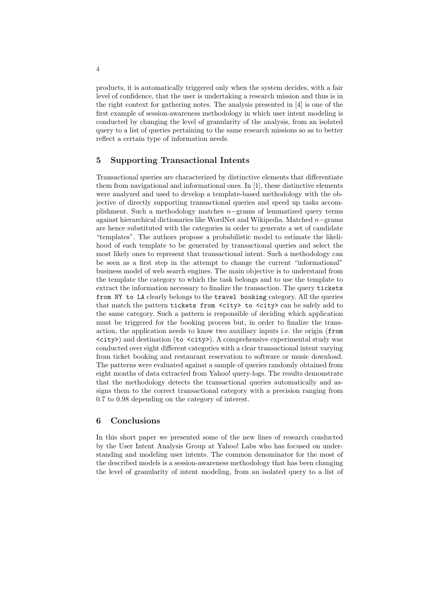products, it is automatically triggered only when the system decides, with a fair level of confidence, that the user is undertaking a research mission and thus is in the right context for gathering notes. The analysis presented in [4] is one of the first example of session-awareness methodology in which user intent modeling is conducted by changing the level of granularity of the analysis, from an isolated query to a list of queries pertaining to the same research missions so as to better reflect a certain type of information needs.

# 5 Supporting Transactional Intents

Transactional queries are characterized by distinctive elements that differentiate them from navigational and informational ones. In [1], these distinctive elements were analyzed and used to develop a template-based methodology with the objective of directly supporting transactional queries and speed up tasks accomplishment. Such a methodology matches n−grams of lemmatized query terms against hierarchical dictionaries like WordNet and Wikipedia. Matched n−grams are hence substituted with the categories in order to generate a set of candidate "templates". The authors propose a probabilistic model to estimate the likelihood of each template to be generated by transactional queries and select the most likely ones to represent that transactional intent. Such a methodology can be seen as a first step in the attempt to change the current "informational" business model of web search engines. The main objective is to understand from the template the category to which the task belongs and to use the template to extract the information necessary to finalize the transaction. The query tickets from NY to LA clearly belongs to the travel booking category. All the queries that match the pattern tickets from <city> to <city> can be safely add to the same category. Such a pattern is responsible of deciding which application must be triggered for the booking process but, in order to finalize the transaction, the application needs to know two auxiliary inputs i.e. the origin (from <city>) and destination (to <city>). A comprehensive experimental study was conducted over eight different categories with a clear transactional intent varying from ticket booking and restaurant reservation to software or music download. The patterns were evaluated against a sample of queries randomly obtained from eight months of data extracted from Yahoo! query-logs. The results demonstrate that the methodology detects the transactional queries automatically and assigns them to the correct transactional category with a precision ranging from 0.7 to 0.98 depending on the category of interest.

#### 6 Conclusions

In this short paper we presented some of the new lines of research conducted by the User Intent Analysis Group at Yahoo! Labs who has focused on understanding and modeling user intents. The common denominator for the most of the described models is a session-awareness methodology that has been changing the level of granularity of intent modeling, from an isolated query to a list of